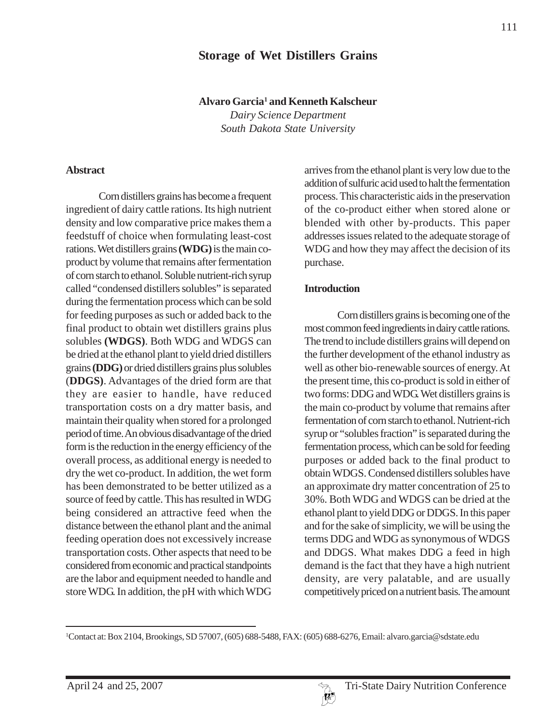# **Storage of Wet Distillers Grains**

**Alvaro Garcia1 and Kenneth Kalscheur**

*Dairy Science Department South Dakota State University*

#### **Abstract**

Corn distillers grains has become a frequent ingredient of dairy cattle rations. Its high nutrient density and low comparative price makes them a feedstuff of choice when formulating least-cost rations. Wet distillers grains **(WDG)** is the main coproduct by volume that remains after fermentation of corn starch to ethanol. Soluble nutrient-rich syrup called "condensed distillers solubles" is separated during the fermentation process which can be sold for feeding purposes as such or added back to the final product to obtain wet distillers grains plus solubles **(WDGS)**. Both WDG and WDGS can be dried at the ethanol plant to yield dried distillers grains **(DDG)** or dried distillers grains plus solubles (**DDGS)**. Advantages of the dried form are that they are easier to handle, have reduced transportation costs on a dry matter basis, and maintain their quality when stored for a prolonged period of time. An obvious disadvantage of the dried form is the reduction in the energy efficiency of the overall process, as additional energy is needed to dry the wet co-product. In addition, the wet form has been demonstrated to be better utilized as a source of feed by cattle. This has resulted in WDG being considered an attractive feed when the distance between the ethanol plant and the animal feeding operation does not excessively increase transportation costs. Other aspects that need to be considered from economic and practical standpoints are the labor and equipment needed to handle and store WDG. In addition, the pH with which WDG

arrives from the ethanol plant is very low due to the addition of sulfuric acid used to halt the fermentation process. This characteristic aids in the preservation of the co-product either when stored alone or blended with other by-products. This paper addresses issues related to the adequate storage of WDG and how they may affect the decision of its purchase.

#### **Introduction**

Corn distillers grains is becoming one of the most common feed ingredients in dairy cattle rations. The trend to include distillers grains will depend on the further development of the ethanol industry as well as other bio-renewable sources of energy. At the present time, this co-product is sold in either of two forms: DDG and WDG. Wet distillers grains is the main co-product by volume that remains after fermentation of corn starch to ethanol. Nutrient-rich syrup or "solubles fraction" is separated during the fermentation process, which can be sold for feeding purposes or added back to the final product to obtain WDGS. Condensed distillers solubles have an approximate dry matter concentration of 25 to 30%. Both WDG and WDGS can be dried at the ethanol plant to yield DDG or DDGS. In this paper and for the sake of simplicity, we will be using the terms DDG and WDG as synonymous of WDGS and DDGS. What makes DDG a feed in high demand is the fact that they have a high nutrient density, are very palatable, and are usually competitively priced on a nutrient basis. The amount

<sup>1</sup> Contact at: Box 2104, Brookings, SD 57007, (605) 688-5488, FAX: (605) 688-6276, Email: alvaro.garcia@sdstate.edu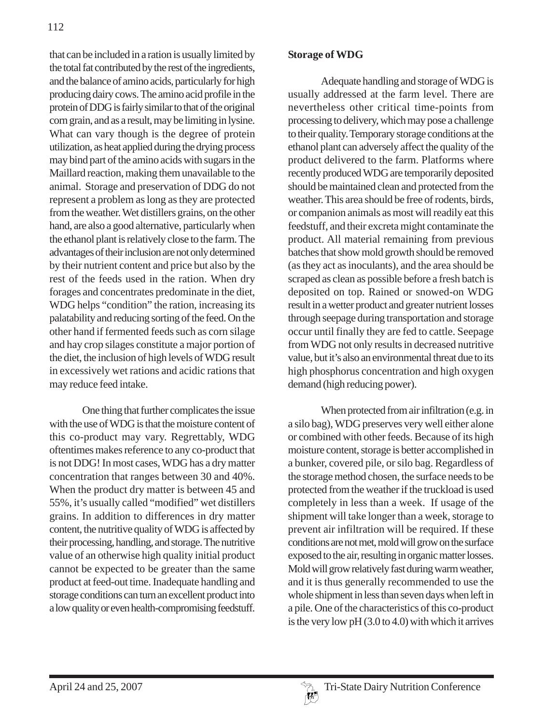that can be included in a ration is usually limited by the total fat contributed by the rest of the ingredients, and the balance of amino acids, particularly for high producing dairy cows. The amino acid profile in the protein of DDG is fairly similar to that of the original corn grain, and as a result, may be limiting in lysine. What can vary though is the degree of protein utilization, as heat applied during the drying process may bind part of the amino acids with sugars in the Maillard reaction, making them unavailable to the animal. Storage and preservation of DDG do not represent a problem as long as they are protected from the weather. Wet distillers grains, on the other hand, are also a good alternative, particularly when the ethanol plant is relatively close to the farm. The advantages of their inclusion are not only determined by their nutrient content and price but also by the rest of the feeds used in the ration. When dry forages and concentrates predominate in the diet, WDG helps "condition" the ration, increasing its palatability and reducing sorting of the feed. On the other hand if fermented feeds such as corn silage and hay crop silages constitute a major portion of the diet, the inclusion of high levels of WDG result in excessively wet rations and acidic rations that may reduce feed intake.

One thing that further complicates the issue with the use of WDG is that the moisture content of this co-product may vary. Regrettably, WDG oftentimes makes reference to any co-product that is not DDG! In most cases, WDG has a dry matter concentration that ranges between 30 and 40%. When the product dry matter is between 45 and 55%, it's usually called "modified" wet distillers grains. In addition to differences in dry matter content, the nutritive quality of WDG is affected by their processing, handling, and storage. The nutritive value of an otherwise high quality initial product cannot be expected to be greater than the same product at feed-out time. Inadequate handling and storage conditions can turn an excellent product into a low quality or even health-compromising feedstuff.

## **Storage of WDG**

Adequate handling and storage of WDG is usually addressed at the farm level. There are nevertheless other critical time-points from processing to delivery, which may pose a challenge to their quality. Temporary storage conditions at the ethanol plant can adversely affect the quality of the product delivered to the farm. Platforms where recently produced WDG are temporarily deposited should be maintained clean and protected from the weather. This area should be free of rodents, birds, or companion animals as most will readily eat this feedstuff, and their excreta might contaminate the product. All material remaining from previous batches that show mold growth should be removed (as they act as inoculants), and the area should be scraped as clean as possible before a fresh batch is deposited on top. Rained or snowed-on WDG result in a wetter product and greater nutrient losses through seepage during transportation and storage occur until finally they are fed to cattle. Seepage from WDG not only results in decreased nutritive value, but it's also an environmental threat due to its high phosphorus concentration and high oxygen demand (high reducing power).

When protected from air infiltration (e.g. in a silo bag), WDG preserves very well either alone or combined with other feeds. Because of its high moisture content, storage is better accomplished in a bunker, covered pile, or silo bag. Regardless of the storage method chosen, the surface needs to be protected from the weather if the truckload is used completely in less than a week. If usage of the shipment will take longer than a week, storage to prevent air infiltration will be required. If these conditions are not met, mold will grow on the surface exposed to the air, resulting in organic matter losses. Mold will grow relatively fast during warm weather, and it is thus generally recommended to use the whole shipment in less than seven days when left in a pile. One of the characteristics of this co-product is the very low pH (3.0 to 4.0) with which it arrives

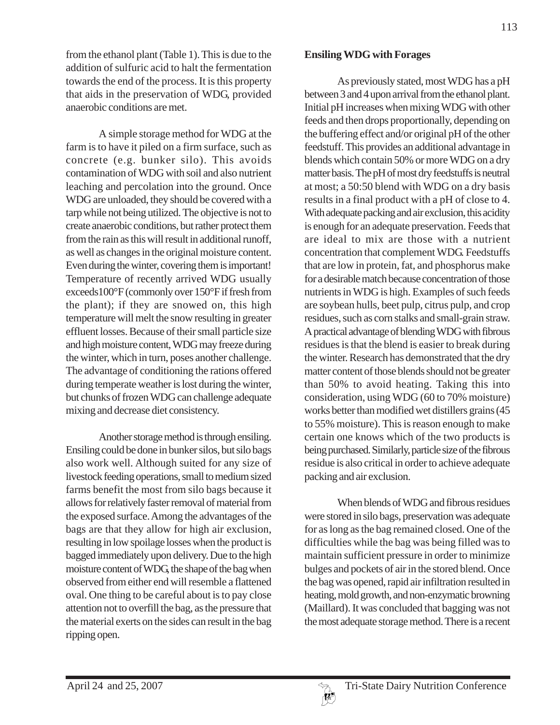from the ethanol plant (Table 1). This is due to the addition of sulfuric acid to halt the fermentation towards the end of the process. It is this property that aids in the preservation of WDG, provided anaerobic conditions are met.

A simple storage method for WDG at the farm is to have it piled on a firm surface, such as concrete (e.g. bunker silo). This avoids contamination of WDG with soil and also nutrient leaching and percolation into the ground. Once WDG are unloaded, they should be covered with a tarp while not being utilized. The objective is not to create anaerobic conditions, but rather protect them from the rain as this will result in additional runoff, as well as changes in the original moisture content. Even during the winter, covering them is important! Temperature of recently arrived WDG usually exceeds100°F (commonly over 150°F if fresh from the plant); if they are snowed on, this high temperature will melt the snow resulting in greater effluent losses. Because of their small particle size and high moisture content, WDG may freeze during the winter, which in turn, poses another challenge. The advantage of conditioning the rations offered during temperate weather is lost during the winter, but chunks of frozen WDG can challenge adequate mixing and decrease diet consistency.

Another storage method is through ensiling. Ensiling could be done in bunker silos, but silo bags also work well. Although suited for any size of livestock feeding operations, small to medium sized farms benefit the most from silo bags because it allows for relatively faster removal of material from the exposed surface. Among the advantages of the bags are that they allow for high air exclusion, resulting in low spoilage losses when the product is bagged immediately upon delivery. Due to the high moisture content of WDG, the shape of the bag when observed from either end will resemble a flattened oval. One thing to be careful about is to pay close attention not to overfill the bag, as the pressure that the material exerts on the sides can result in the bag ripping open.

### **Ensiling WDG with Forages**

As previously stated, most WDG has a pH between 3 and 4 upon arrival from the ethanol plant. Initial pH increases when mixing WDG with other feeds and then drops proportionally, depending on the buffering effect and/or original pH of the other feedstuff. This provides an additional advantage in blends which contain 50% or more WDG on a dry matter basis. The pH of most dry feedstuffs is neutral at most; a 50:50 blend with WDG on a dry basis results in a final product with a pH of close to 4. With adequate packing and air exclusion, this acidity is enough for an adequate preservation. Feeds that are ideal to mix are those with a nutrient concentration that complement WDG. Feedstuffs that are low in protein, fat, and phosphorus make for a desirable match because concentration of those nutrients in WDG is high. Examples of such feeds are soybean hulls, beet pulp, citrus pulp, and crop residues, such as corn stalks and small-grain straw. A practical advantage of blending WDG with fibrous residues is that the blend is easier to break during the winter. Research has demonstrated that the dry matter content of those blends should not be greater than 50% to avoid heating. Taking this into consideration, using WDG (60 to 70% moisture) works better than modified wet distillers grains (45 to 55% moisture). This is reason enough to make certain one knows which of the two products is being purchased. Similarly, particle size of the fibrous residue is also critical in order to achieve adequate packing and air exclusion.

When blends of WDG and fibrous residues were stored in silo bags, preservation was adequate for as long as the bag remained closed. One of the difficulties while the bag was being filled was to maintain sufficient pressure in order to minimize bulges and pockets of air in the stored blend. Once the bag was opened, rapid air infiltration resulted in heating, mold growth, and non-enzymatic browning (Maillard). It was concluded that bagging was not the most adequate storage method. There is a recent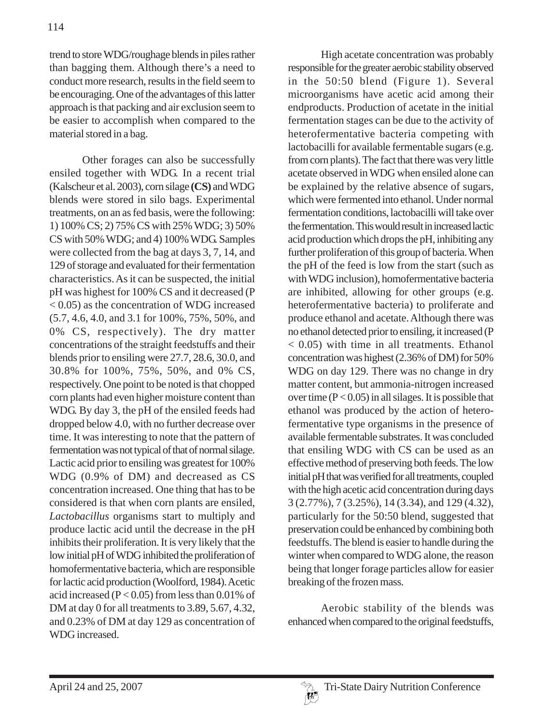trend to store WDG/roughage blends in piles rather than bagging them. Although there's a need to conduct more research, results in the field seem to be encouraging. One of the advantages of this latter approach is that packing and air exclusion seem to be easier to accomplish when compared to the material stored in a bag.

Other forages can also be successfully ensiled together with WDG. In a recent trial (Kalscheur et al. 2003), corn silage **(CS)** and WDG blends were stored in silo bags. Experimental treatments, on an as fed basis, were the following: 1) 100% CS; 2) 75% CS with 25% WDG; 3) 50% CS with 50% WDG; and 4) 100% WDG. Samples were collected from the bag at days 3, 7, 14, and 129 of storage and evaluated for their fermentation characteristics. As it can be suspected, the initial pH was highest for 100% CS and it decreased (P < 0.05) as the concentration of WDG increased (5.7, 4.6, 4.0, and 3.1 for 100%, 75%, 50%, and 0% CS, respectively). The dry matter concentrations of the straight feedstuffs and their blends prior to ensiling were 27.7, 28.6, 30.0, and 30.8% for 100%, 75%, 50%, and 0% CS, respectively. One point to be noted is that chopped corn plants had even higher moisture content than WDG. By day 3, the pH of the ensiled feeds had dropped below 4.0, with no further decrease over time. It was interesting to note that the pattern of fermentation was not typical of that of normal silage. Lactic acid prior to ensiling was greatest for 100% WDG (0.9% of DM) and decreased as CS concentration increased. One thing that has to be considered is that when corn plants are ensiled, *Lactobacillus* organisms start to multiply and produce lactic acid until the decrease in the pH inhibits their proliferation. It is very likely that the low initial pH of WDG inhibited the proliferation of homofermentative bacteria, which are responsible for lactic acid production (Woolford, 1984). Acetic acid increased ( $P < 0.05$ ) from less than 0.01% of DM at day 0 for all treatments to 3.89, 5.67, 4.32, and 0.23% of DM at day 129 as concentration of WDG increased.

High acetate concentration was probably responsible for the greater aerobic stability observed in the 50:50 blend (Figure 1). Several microorganisms have acetic acid among their endproducts. Production of acetate in the initial fermentation stages can be due to the activity of heterofermentative bacteria competing with lactobacilli for available fermentable sugars (e.g. from corn plants). The fact that there was very little acetate observed in WDG when ensiled alone can be explained by the relative absence of sugars, which were fermented into ethanol. Under normal fermentation conditions, lactobacilli will take over the fermentation. This would result in increased lactic acid production which drops the pH, inhibiting any further proliferation of this group of bacteria. When the pH of the feed is low from the start (such as with WDG inclusion), homofermentative bacteria are inhibited, allowing for other groups (e.g. heterofermentative bacteria) to proliferate and produce ethanol and acetate. Although there was no ethanol detected prior to ensiling, it increased (P < 0.05) with time in all treatments. Ethanol concentration was highest (2.36% of DM) for 50% WDG on day 129. There was no change in dry matter content, but ammonia-nitrogen increased over time  $(P < 0.05)$  in all silages. It is possible that ethanol was produced by the action of heterofermentative type organisms in the presence of available fermentable substrates. It was concluded that ensiling WDG with CS can be used as an effective method of preserving both feeds. The low initial pH that was verified for all treatments, coupled with the high acetic acid concentration during days 3 (2.77%), 7 (3.25%), 14 (3.34), and 129 (4.32), particularly for the 50:50 blend, suggested that preservation could be enhanced by combining both feedstuffs. The blend is easier to handle during the winter when compared to WDG alone, the reason being that longer forage particles allow for easier breaking of the frozen mass.

Aerobic stability of the blends was enhanced when compared to the original feedstuffs,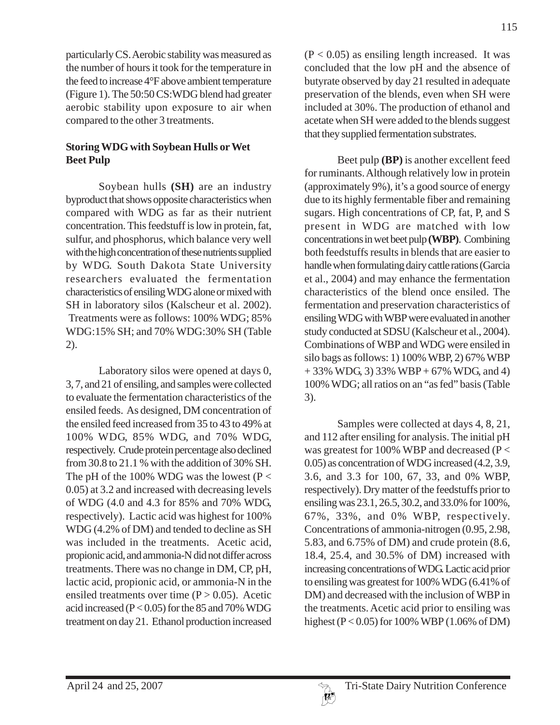particularly CS. Aerobic stability was measured as the number of hours it took for the temperature in the feed to increase 4°F above ambient temperature (Figure 1). The 50:50 CS:WDG blend had greater aerobic stability upon exposure to air when compared to the other 3 treatments.

# **Storing WDG with Soybean Hulls or Wet Beet Pulp**

Soybean hulls **(SH)** are an industry byproduct that shows opposite characteristics when compared with WDG as far as their nutrient concentration. This feedstuff is low in protein, fat, sulfur, and phosphorus, which balance very well with the high concentration of these nutrients supplied by WDG. South Dakota State University researchers evaluated the fermentation characteristics of ensiling WDG alone or mixed with SH in laboratory silos (Kalscheur et al. 2002). Treatments were as follows: 100% WDG; 85% WDG:15% SH; and 70% WDG:30% SH (Table 2).

Laboratory silos were opened at days 0, 3, 7, and 21 of ensiling, and samples were collected to evaluate the fermentation characteristics of the ensiled feeds. As designed, DM concentration of the ensiled feed increased from 35 to 43 to 49% at 100% WDG, 85% WDG, and 70% WDG, respectively. Crude protein percentage also declined from 30.8 to 21.1 % with the addition of 30% SH. The pH of the 100% WDG was the lowest ( $P <$ 0.05) at 3.2 and increased with decreasing levels of WDG (4.0 and 4.3 for 85% and 70% WDG, respectively). Lactic acid was highest for 100% WDG (4.2% of DM) and tended to decline as SH was included in the treatments. Acetic acid, propionic acid, and ammonia-N did not differ across treatments. There was no change in DM, CP, pH, lactic acid, propionic acid, or ammonia-N in the ensiled treatments over time  $(P > 0.05)$ . Acetic acid increased ( $P < 0.05$ ) for the 85 and 70% WDG treatment on day 21. Ethanol production increased

 $(P < 0.05)$  as ensiling length increased. It was concluded that the low pH and the absence of butyrate observed by day 21 resulted in adequate preservation of the blends, even when SH were included at 30%. The production of ethanol and acetate when SH were added to the blends suggest that they supplied fermentation substrates.

Beet pulp **(BP)** is another excellent feed for ruminants. Although relatively low in protein (approximately 9%), it's a good source of energy due to its highly fermentable fiber and remaining sugars. High concentrations of CP, fat, P, and S present in WDG are matched with low concentrations in wet beet pulp **(WBP)**. Combining both feedstuffs results in blends that are easier to handle when formulating dairy cattle rations (Garcia et al., 2004) and may enhance the fermentation characteristics of the blend once ensiled. The fermentation and preservation characteristics of ensiling WDG with WBP were evaluated in another study conducted at SDSU (Kalscheur et al., 2004). Combinations of WBP and WDG were ensiled in silo bags as follows: 1) 100% WBP, 2) 67% WBP + 33% WDG, 3) 33% WBP + 67% WDG, and 4) 100% WDG; all ratios on an "as fed" basis (Table 3).

Samples were collected at days 4, 8, 21, and 112 after ensiling for analysis. The initial pH was greatest for 100% WBP and decreased (P < 0.05) as concentration of WDG increased (4.2, 3.9, 3.6, and 3.3 for 100, 67, 33, and 0% WBP, respectively). Dry matter of the feedstuffs prior to ensiling was 23.1, 26.5, 30.2, and 33.0% for 100%, 67%, 33%, and 0% WBP, respectively. Concentrations of ammonia-nitrogen (0.95, 2.98, 5.83, and 6.75% of DM) and crude protein (8.6, 18.4, 25.4, and 30.5% of DM) increased with increasing concentrations of WDG. Lactic acid prior to ensiling was greatest for 100% WDG (6.41% of DM) and decreased with the inclusion of WBP in the treatments. Acetic acid prior to ensiling was highest (P < 0.05) for 100% WBP (1.06% of DM)

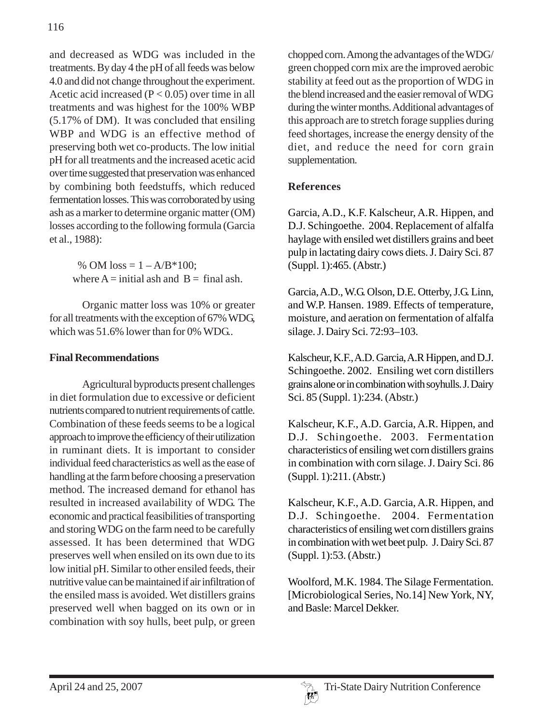and decreased as WDG was included in the treatments. By day 4 the pH of all feeds was below 4.0 and did not change throughout the experiment. Acetic acid increased  $(P < 0.05)$  over time in all treatments and was highest for the 100% WBP (5.17% of DM). It was concluded that ensiling WBP and WDG is an effective method of preserving both wet co-products. The low initial pH for all treatments and the increased acetic acid over time suggested that preservation was enhanced by combining both feedstuffs, which reduced fermentation losses. This was corroborated by using ash as a marker to determine organic matter (OM) losses according to the following formula (Garcia et al., 1988):

> % OM  $loss = 1 - A/B*100$ ; where  $A = \text{initial ash}$  and  $B = \text{final ash}$ .

Organic matter loss was 10% or greater for all treatments with the exception of 67% WDG, which was 51.6% lower than for 0% WDG..

# **Final Recommendations**

Agricultural byproducts present challenges in diet formulation due to excessive or deficient nutrients compared to nutrient requirements of cattle. Combination of these feeds seems to be a logical approach to improve the efficiency of their utilization in ruminant diets. It is important to consider individual feed characteristics as well as the ease of handling at the farm before choosing a preservation method. The increased demand for ethanol has resulted in increased availability of WDG. The economic and practical feasibilities of transporting and storing WDG on the farm need to be carefully assessed. It has been determined that WDG preserves well when ensiled on its own due to its low initial pH. Similar to other ensiled feeds, their nutritive value can be maintained if air infiltration of the ensiled mass is avoided. Wet distillers grains preserved well when bagged on its own or in combination with soy hulls, beet pulp, or green

chopped corn. Among the advantages of the WDG/ green chopped corn mix are the improved aerobic stability at feed out as the proportion of WDG in the blend increased and the easier removal of WDG during the winter months. Additional advantages of this approach are to stretch forage supplies during feed shortages, increase the energy density of the diet, and reduce the need for corn grain supplementation.

# **References**

Garcia, A.D., K.F. Kalscheur, A.R. Hippen, and D.J. Schingoethe. 2004. Replacement of alfalfa haylage with ensiled wet distillers grains and beet pulp in lactating dairy cows diets.J. Dairy Sci. 87 (Suppl. 1):465. (Abstr.)

Garcia, A.D., W.G. Olson, D.E. Otterby, J.G. Linn, and W.P. Hansen. 1989. Effects of temperature, moisture, and aeration on fermentation of alfalfa silage. J. Dairy Sci. 72:93–103.

Kalscheur, K.F., A.D. Garcia, A.R Hippen, and D.J. Schingoethe. 2002. Ensiling wet corn distillers grains alone or in combination with soyhulls. J. Dairy Sci. 85 (Suppl. 1):234. (Abstr.)

Kalscheur, K.F., A.D. Garcia, A.R. Hippen, and D.J. Schingoethe. 2003. Fermentation characteristics of ensiling wet corn distillers grains in combination with corn silage. J. Dairy Sci. 86 (Suppl. 1):211. (Abstr.)

Kalscheur, K.F., A.D. Garcia, A.R. Hippen, and D.J. Schingoethe. 2004. Fermentation characteristics of ensiling wet corn distillers grains in combination with wet beet pulp. J. Dairy Sci. 87 (Suppl. 1):53. (Abstr.)

Woolford, M.K. 1984. The Silage Fermentation. [Microbiological Series, No.14] New York, NY, and Basle: Marcel Dekker.

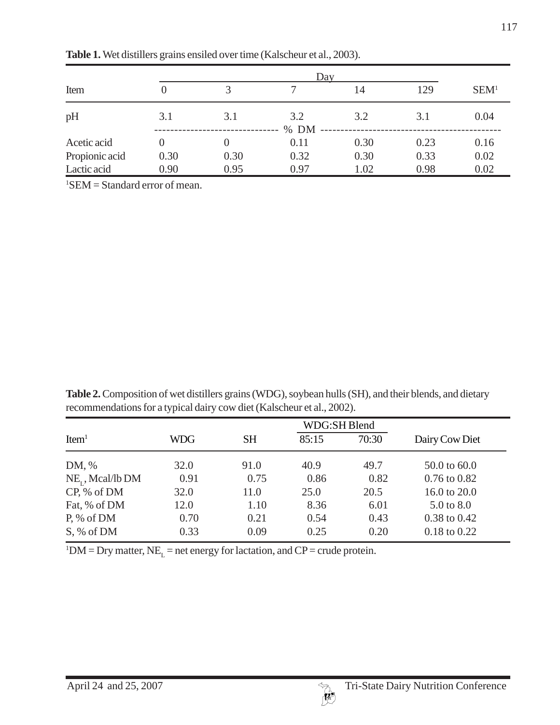| Item           | 0        |      |             | 14   | 129  | SEM <sup>1</sup> |
|----------------|----------|------|-------------|------|------|------------------|
| pH             | 3.1      | 3.1  | 3.2<br>% DM | 3.2  | 3.1  | 0.04             |
| Acetic acid    | $\theta$ |      | 0.11        | 0.30 | 0.23 | 0.16             |
| Propionic acid | 0.30     | 0.30 | 0.32        | 0.30 | 0.33 | 0.02             |
| Lactic acid    | 0.90     | 0.95 | 0.97        | 1.02 | 0.98 | 0.02             |

**Table 1.** Wet distillers grains ensiled over time (Kalscheur et al., 2003).

1 SEM = Standard error of mean.

**Table 2.** Composition of wet distillers grains (WDG), soybean hulls (SH), and their blends, and dietary recommendations for a typical dairy cow diet (Kalscheur et al., 2002).

|                       | <b>WDG:SH Blend</b> |           |       |       |                  |  |  |
|-----------------------|---------------------|-----------|-------|-------|------------------|--|--|
| Item <sup>1</sup>     | WDG                 | <b>SH</b> | 85:15 | 70:30 | Dairy Cow Diet   |  |  |
| DM, %                 | 32.0                | 91.0      | 40.9  | 49.7  | 50.0 to 60.0     |  |  |
| $NE_{r}$ , Mcal/lb DM | 0.91                | 0.75      | 0.86  | 0.82  | $0.76$ to $0.82$ |  |  |
| CP, % of DM           | 32.0                | 11.0      | 25.0  | 20.5  | 16.0 to 20.0     |  |  |
| Fat, % of DM          | 12.0                | 1.10      | 8.36  | 6.01  | 5.0 to 8.0       |  |  |
| $P, \%$ of DM         | 0.70                | 0.21      | 0.54  | 0.43  | 0.38 to 0.42     |  |  |
| S, % of DM            | 0.33                | 0.09      | 0.25  | 0.20  | 0.18 to 0.22     |  |  |

 ${}^{1}$ DM = Dry matter, NE<sub>L</sub> = net energy for lactation, and CP = crude protein.